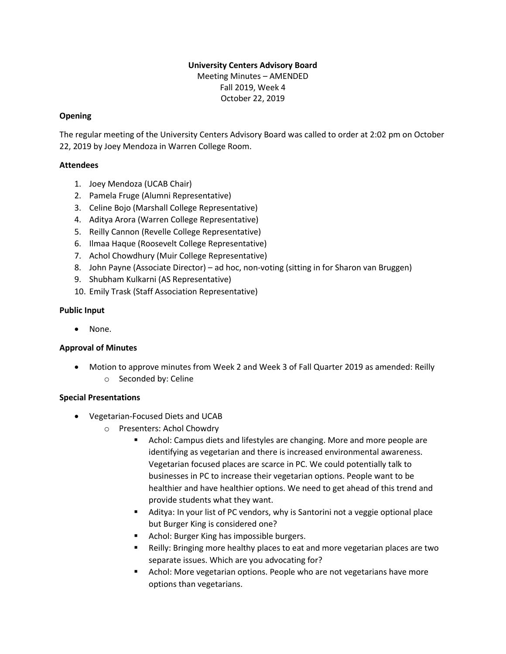# **University Centers Advisory Board** Meeting Minutes – AMENDED Fall 2019, Week 4 October 22, 2019

# **Opening**

The regular meeting of the University Centers Advisory Board was called to order at 2:02 pm on October 22, 2019 by Joey Mendoza in Warren College Room.

## **Attendees**

- 1. Joey Mendoza (UCAB Chair)
- 2. Pamela Fruge (Alumni Representative)
- 3. Celine Bojo (Marshall College Representative)
- 4. Aditya Arora (Warren College Representative)
- 5. Reilly Cannon (Revelle College Representative)
- 6. Ilmaa Haque (Roosevelt College Representative)
- 7. Achol Chowdhury (Muir College Representative)
- 8. John Payne (Associate Director) ad hoc, non-voting (sitting in for Sharon van Bruggen)
- 9. Shubham Kulkarni (AS Representative)
- 10. Emily Trask (Staff Association Representative)

### **Public Input**

• None.

### **Approval of Minutes**

• Motion to approve minutes from Week 2 and Week 3 of Fall Quarter 2019 as amended: Reilly o Seconded by: Celine

### **Special Presentations**

- Vegetarian-Focused Diets and UCAB
	- o Presenters: Achol Chowdry
		- Achol: Campus diets and lifestyles are changing. More and more people are identifying as vegetarian and there is increased environmental awareness. Vegetarian focused places are scarce in PC. We could potentially talk to businesses in PC to increase their vegetarian options. People want to be healthier and have healthier options. We need to get ahead of this trend and provide students what they want.
		- Aditya: In your list of PC vendors, why is Santorini not a veggie optional place but Burger King is considered one?
		- Achol: Burger King has impossible burgers.
		- Reilly: Bringing more healthy places to eat and more vegetarian places are two separate issues. Which are you advocating for?
		- Achol: More vegetarian options. People who are not vegetarians have more options than vegetarians.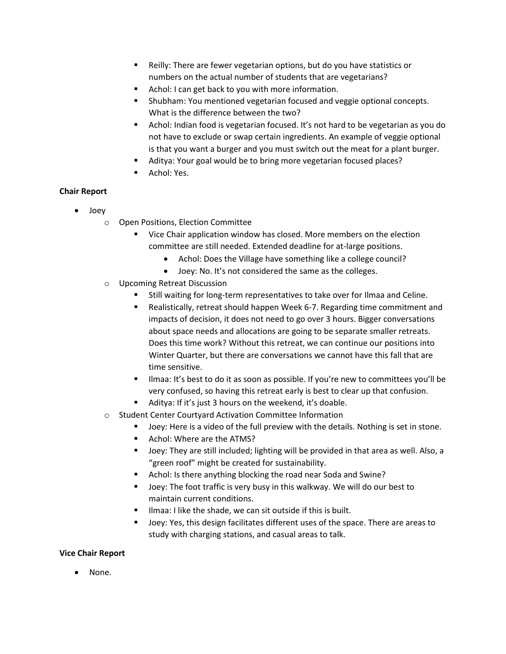- Reilly: There are fewer vegetarian options, but do you have statistics or numbers on the actual number of students that are vegetarians?
- Achol: I can get back to you with more information.
- Shubham: You mentioned vegetarian focused and veggie optional concepts. What is the difference between the two?
- Achol: Indian food is vegetarian focused. It's not hard to be vegetarian as you do not have to exclude or swap certain ingredients. An example of veggie optional is that you want a burger and you must switch out the meat for a plant burger.
- Aditya: Your goal would be to bring more vegetarian focused places?
- Achol: Yes.

### **Chair Report**

- Joey
	- o Open Positions, Election Committee
		- Vice Chair application window has closed. More members on the election committee are still needed. Extended deadline for at-large positions.
			- Achol: Does the Village have something like a college council?
			- Joey: No. It's not considered the same as the colleges.
	- o Upcoming Retreat Discussion
		- Still waiting for long-term representatives to take over for Ilmaa and Celine.
		- Realistically, retreat should happen Week 6-7. Regarding time commitment and impacts of decision, it does not need to go over 3 hours. Bigger conversations about space needs and allocations are going to be separate smaller retreats. Does this time work? Without this retreat, we can continue our positions into Winter Quarter, but there are conversations we cannot have this fall that are time sensitive.
		- **.** Ilmaa: It's best to do it as soon as possible. If you're new to committees you'll be very confused, so having this retreat early is best to clear up that confusion.
		- Aditya: If it's just 3 hours on the weekend, it's doable.
	- o Student Center Courtyard Activation Committee Information
		- Joey: Here is a video of the full preview with the details. Nothing is set in stone.
		- Achol: Where are the ATMS?
		- Joey: They are still included; lighting will be provided in that area as well. Also, a "green roof" might be created for sustainability.
		- Achol: Is there anything blocking the road near Soda and Swine?
		- Joey: The foot traffic is very busy in this walkway. We will do our best to maintain current conditions.
		- Ilmaa: I like the shade, we can sit outside if this is built.
		- Joey: Yes, this design facilitates different uses of the space. There are areas to study with charging stations, and casual areas to talk.

### **Vice Chair Report**

• None.